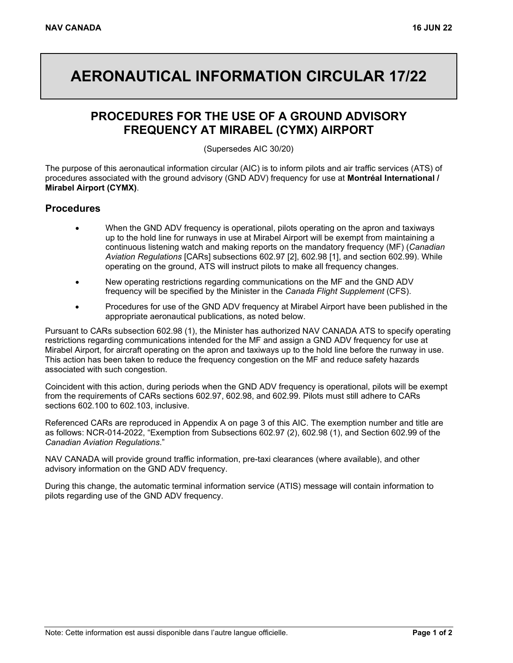## **AERONAUTICAL INFORMATION CIRCULAR 17/22**

## **PROCEDURES FOR THE USE OF A GROUND ADVISORY FREQUENCY AT MIRABEL (CYMX) AIRPORT**

(Supersedes AIC 30/20)

The purpose of this aeronautical information circular (AIC) is to inform pilots and air traffic services (ATS) of procedures associated with the ground advisory (GND ADV) frequency for use at **Montréal International / Mirabel Airport (CYMX)**.

## **Procedures**

- When the GND ADV frequency is operational, pilots operating on the apron and taxiways up to the hold line for runways in use at Mirabel Airport will be exempt from maintaining a continuous listening watch and making reports on the mandatory frequency (MF) (*Canadian Aviation Regulations* [CARs] subsections 602.97 [2], 602.98 [1], and section 602.99). While operating on the ground, ATS will instruct pilots to make all frequency changes.
- New operating restrictions regarding communications on the MF and the GND ADV frequency will be specified by the Minister in the *Canada Flight Supplement* (CFS).
- Procedures for use of the GND ADV frequency at Mirabel Airport have been published in the appropriate aeronautical publications, as noted below.

Pursuant to CARs subsection 602.98 (1), the Minister has authorized NAV CANADA ATS to specify operating restrictions regarding communications intended for the MF and assign a GND ADV frequency for use at Mirabel Airport, for aircraft operating on the apron and taxiways up to the hold line before the runway in use. This action has been taken to reduce the frequency congestion on the MF and reduce safety hazards associated with such congestion.

Coincident with this action, during periods when the GND ADV frequency is operational, pilots will be exempt from the requirements of CARs sections 602.97, 602.98, and 602.99. Pilots must still adhere to CARs sections 602.100 to 602.103, inclusive.

Referenced CARs are reproduced in Appendix A on page 3 of this AIC. The exemption number and title are as follows: NCR-014-2022, "Exemption from Subsections 602.97 (2), 602.98 (1), and Section 602.99 of the *Canadian Aviation Regulations*."

NAV CANADA will provide ground traffic information, pre-taxi clearances (where available), and other advisory information on the GND ADV frequency.

During this change, the automatic terminal information service (ATIS) message will contain information to pilots regarding use of the GND ADV frequency.